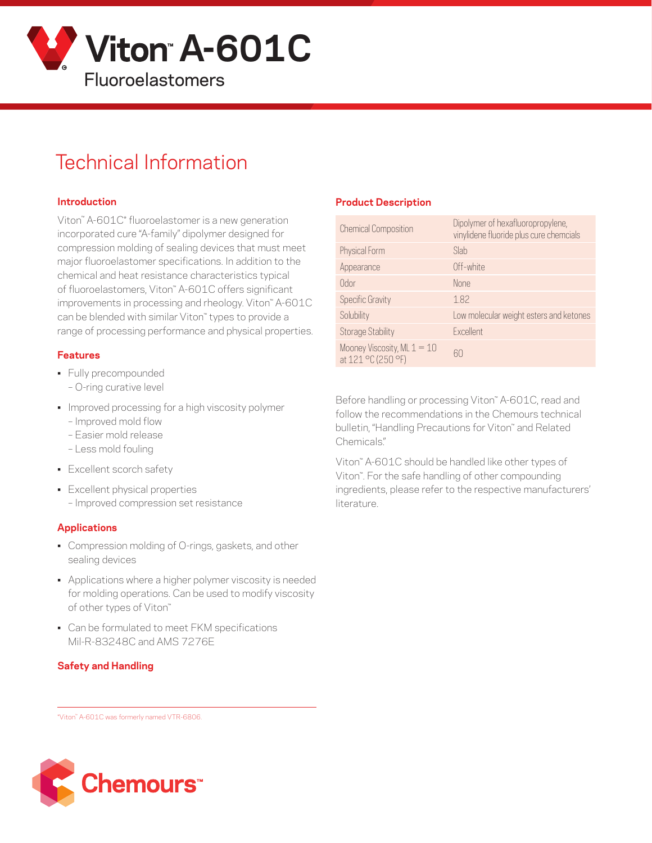

# Technical Information

#### **Introduction**

Viton™ A-601C\* fluoroelastomer is a new generation incorporated cure "A-family" dipolymer designed for compression molding of sealing devices that must meet major fluoroelastomer specifications. In addition to the chemical and heat resistance characteristics typical of fluoroelastomers, Viton™ A-601C offers significant improvements in processing and rheology. Viton™ A-601C can be blended with similar Viton™ types to provide a range of processing performance and physical properties.

#### **Features**

- Fully precompounded
	- O-ring curative level
- Improved processing for a high viscosity polymer – Improved mold flow
	- Easier mold release
	- Less mold fouling
- Excellent scorch safety
- Excellent physical properties – Improved compression set resistance

#### **Applications**

- Compression molding of O-rings, gaskets, and other sealing devices
- Applications where a higher polymer viscosity is needed for molding operations. Can be used to modify viscosity of other types of Viton™
- Can be formulated to meet FKM specifications Mil-R-83248C and AMS 7276E

#### **Safety and Handling**

#### **Product Description**

| <b>Chemical Composition</b>                         | Dipolymer of hexafluoropropylene,<br>vinylidene fluoride plus cure chemcials |
|-----------------------------------------------------|------------------------------------------------------------------------------|
| Physical Form                                       | Slab                                                                         |
| Appearance                                          | Off-white                                                                    |
| Odor                                                | <b>None</b>                                                                  |
| <b>Specific Gravity</b>                             | 1.82                                                                         |
| Solubility                                          | Low molecular weight esters and ketones                                      |
| <b>Storage Stability</b>                            | Excellent                                                                    |
| Mooney Viscosity, ML $1 = 10$<br>at 121 °C (250 °F) | 60                                                                           |

Before handling or processing Viton<sup>™</sup> A-601C, read and follow the recommendations in the Chemours technical bulletin, "Handling Precautions for Viton™ and Related Chemicals."

Viton™ A-601C should be handled like other types of Viton™. For the safe handling of other compounding ingredients, please refer to the respective manufacturers' literature.

\*Viton™ A-601C was formerly named VTR-6806.

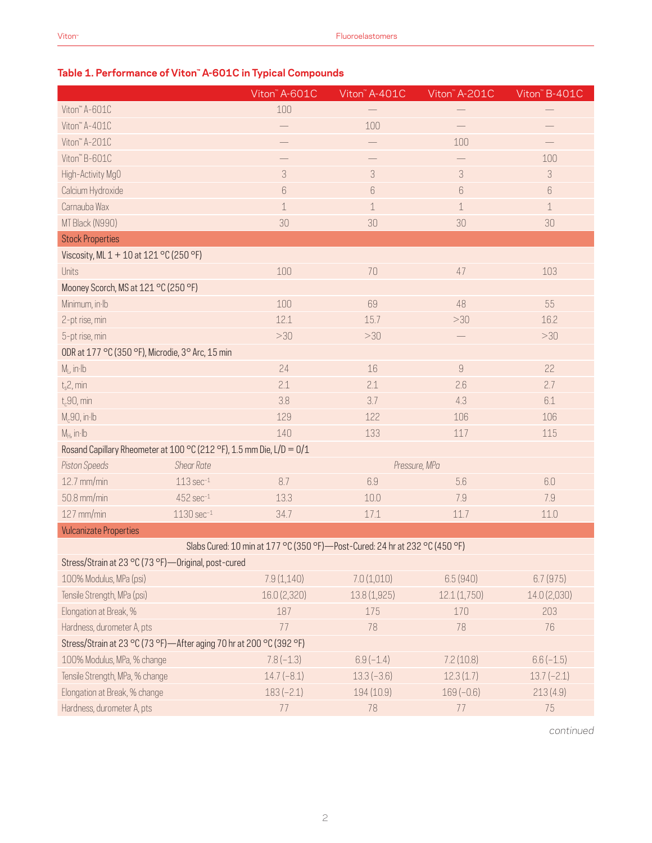### **Table 1. Performance of Viton™ A-601C in Typical Compounds**

|                                                                      |                         | Viton" A-601C                                                                 | Viton" A-401C | Viton" A-201C             | Viton" B-401C             |  |  |
|----------------------------------------------------------------------|-------------------------|-------------------------------------------------------------------------------|---------------|---------------------------|---------------------------|--|--|
| Viton" A-601C                                                        |                         | 100                                                                           |               |                           |                           |  |  |
| Viton" A-401C                                                        |                         |                                                                               | 100           |                           |                           |  |  |
| Viton" A-201C                                                        |                         |                                                                               |               | 100                       |                           |  |  |
| Viton" B-601C                                                        |                         |                                                                               |               |                           | 100                       |  |  |
| High-Activity MgO                                                    |                         | $\sqrt{3}$                                                                    | $\sqrt{3}$    | $\ensuremath{\mathsf{3}}$ | $\ensuremath{\mathsf{3}}$ |  |  |
| Calcium Hydroxide                                                    |                         | 6                                                                             | $6\,$         | $6\,$                     | 6                         |  |  |
| Carnauba Wax                                                         |                         | $\mathbf 1$                                                                   | 1             | $\perp$                   | $\mathbf 1$               |  |  |
| MT Black (N990)                                                      |                         | 30                                                                            | 30            | 30                        | 30                        |  |  |
| <b>Stock Properties</b>                                              |                         |                                                                               |               |                           |                           |  |  |
| Viscosity, ML 1 + 10 at 121 °C (250 °F)                              |                         |                                                                               |               |                           |                           |  |  |
| Units                                                                |                         | 100                                                                           | $70\,$        | 47                        | 103                       |  |  |
| Mooney Scorch, MS at 121 °C (250 °F)                                 |                         |                                                                               |               |                           |                           |  |  |
| Minimum, in Ib                                                       |                         | 100                                                                           | 69            | 48                        | 55                        |  |  |
| 2-pt rise, min                                                       |                         | 12.1                                                                          | 15.7          | >30                       | 16.2                      |  |  |
| 5-pt rise, min                                                       |                         | >30                                                                           | >30           |                           | >30                       |  |  |
| ODR at 177 °C (350 °F), Microdie, 3° Arc, 15 min                     |                         |                                                                               |               |                           |                           |  |  |
| $M1$ , in Ib                                                         |                         | 24                                                                            | 16            | $\hbox{9}$                | 22                        |  |  |
| $t_s$ 2, min                                                         |                         | 2.1                                                                           | 2.1           | 2.6                       | 2.7                       |  |  |
| $t_c$ 90, min                                                        |                         | 3.8                                                                           | 3.7           | 4.3                       | 6.1                       |  |  |
| $M_c$ 90, in·lb                                                      |                         | 129                                                                           | 122           | 106                       | 106                       |  |  |
| $M_H$ , in Ib                                                        |                         | 140                                                                           | 133           | 117                       | 115                       |  |  |
| Rosand Capillary Rheometer at 100 °C (212 °F), 1.5 mm Die, L/D = 0/1 |                         |                                                                               |               |                           |                           |  |  |
| Piston Speeds                                                        | <b>Shear Rate</b>       |                                                                               | Pressure, MPa |                           |                           |  |  |
| 12.7 mm/min                                                          | $113 sec-1$             | 8.7                                                                           | 6.9           | 5.6                       | 6.0                       |  |  |
| 50.8 mm/min                                                          | $452$ sec $^{-1}$       | 13.3                                                                          | 10.0          | 7.9                       | 7.9                       |  |  |
| 127 mm/min                                                           | $1130 \text{ sec}^{-1}$ | 34.7                                                                          | 17.1          | 11.7                      | 11.0                      |  |  |
| <b>Vulcanizate Properties</b>                                        |                         |                                                                               |               |                           |                           |  |  |
|                                                                      |                         | Slabs Cured: 10 min at 177 °C (350 °F) - Post-Cured: 24 hr at 232 °C (450 °F) |               |                           |                           |  |  |
| Stress/Strain at 23 °C (73 °F) - Original, post-cured                |                         |                                                                               |               |                           |                           |  |  |
| 100% Modulus, MPa (psi)                                              |                         | 7.9(1,140)                                                                    | 7.0(1,010)    | 6.5(940)                  | 6.7(975)                  |  |  |
| Tensile Strength, MPa (psi)                                          |                         | 16.0 (2,320)                                                                  | 13.8 (1,925)  | 12.1(1,750)               | 14.0 (2,030)              |  |  |
| Elongation at Break, %                                               |                         | 187                                                                           | 175           | 170                       | 203                       |  |  |
| Hardness, durometer A, pts                                           |                         | 77                                                                            | 78            | 78                        | 76                        |  |  |
| Stress/Strain at 23 °C (73 °F)—After aging 70 hr at 200 °C (392 °F)  |                         |                                                                               |               |                           |                           |  |  |
| 100% Modulus, MPa, % change                                          |                         | $7.8(-1.3)$                                                                   | $6.9(-1.4)$   | 7.2(10.8)                 | $6.6(-1.5)$               |  |  |
| Tensile Strength, MPa, % change                                      |                         | $14.7(-8.1)$                                                                  | $13.3(-3.6)$  | 12.3(1.7)                 | $13.7(-2.1)$              |  |  |
| Elongation at Break, % change                                        |                         | $183(-2.1)$                                                                   | 194 (10.9)    | $169(-0.6)$               | 213(4.9)                  |  |  |
| Hardness, durometer A, pts                                           |                         | 77                                                                            | 78            | 77                        | 75                        |  |  |

*continued*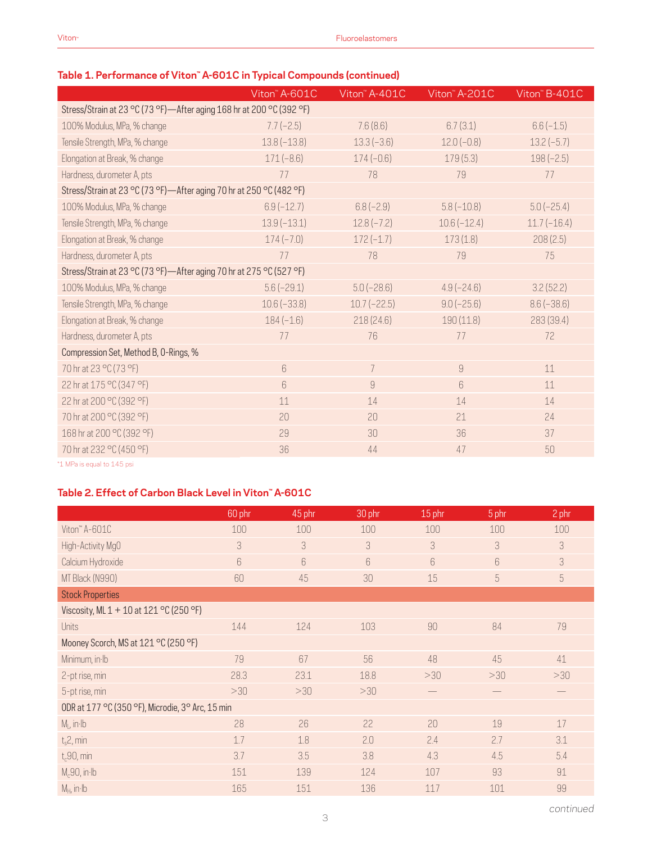#### **Table 1. Performance of Viton™ A-601C in Typical Compounds (continued)**

|                                                                      | Viton" A-601C | Viton" A-401C                                                                                                                                                                                                                                                                                                                                                                                                                                                 | Viton" A-201C  | Viton" B-401C |
|----------------------------------------------------------------------|---------------|---------------------------------------------------------------------------------------------------------------------------------------------------------------------------------------------------------------------------------------------------------------------------------------------------------------------------------------------------------------------------------------------------------------------------------------------------------------|----------------|---------------|
| Stress/Strain at 23 °C (73 °F)-After aging 168 hr at 200 °C (392 °F) |               |                                                                                                                                                                                                                                                                                                                                                                                                                                                               |                |               |
| 100% Modulus, MPa, % change                                          | $7.7(-2.5)$   | 7.6(8.6)                                                                                                                                                                                                                                                                                                                                                                                                                                                      | 6.7(3.1)       | $6.6(-1.5)$   |
| Tensile Strength, MPa, % change                                      | $13.8(-13.8)$ | $13.3(-3.6)$                                                                                                                                                                                                                                                                                                                                                                                                                                                  | $12.0(-0.8)$   | $13.2(-5.7)$  |
| Elongation at Break, % change                                        | $171(-8.6)$   | $174(-0.6)$                                                                                                                                                                                                                                                                                                                                                                                                                                                   | 179(5.3)       | $198(-2.5)$   |
| Hardness, durometer A, pts                                           | 77            | 78                                                                                                                                                                                                                                                                                                                                                                                                                                                            | 79             | 77            |
| Stress/Strain at 23 °C (73 °F)—After aging 70 hr at 250 °C (482 °F)  |               |                                                                                                                                                                                                                                                                                                                                                                                                                                                               |                |               |
| 100% Modulus, MPa, % change                                          | $6.9(-12.7)$  | $6.8(-2.9)$                                                                                                                                                                                                                                                                                                                                                                                                                                                   | $5.8(-10.8)$   | $5.0(-25.4)$  |
| Tensile Strength, MPa, % change                                      | $13.9(-13.1)$ | $12.8(-7.2)$                                                                                                                                                                                                                                                                                                                                                                                                                                                  | $10.6(-12.4)$  | $11.7(-16.4)$ |
| Elongation at Break, % change                                        | $174(-7.0)$   | $172(-1.7)$                                                                                                                                                                                                                                                                                                                                                                                                                                                   | 173(1.8)       | 208(2.5)      |
| Hardness, durometer A, pts                                           | 77            | 78                                                                                                                                                                                                                                                                                                                                                                                                                                                            | 79             | 75            |
| Stress/Strain at 23 °C (73 °F)-After aging 70 hr at 275 °C (527 °F)  |               |                                                                                                                                                                                                                                                                                                                                                                                                                                                               |                |               |
| 100% Modulus, MPa, % change                                          | $5.6(-29.1)$  | $5.0(-28.6)$                                                                                                                                                                                                                                                                                                                                                                                                                                                  | $4.9(-24.6)$   | 3.2(52.2)     |
| Tensile Strength, MPa, % change                                      | $10.6(-33.8)$ | $10.7(-22.5)$                                                                                                                                                                                                                                                                                                                                                                                                                                                 | $9.0(-25.6)$   | $8.6(-38.6)$  |
| Elongation at Break, % change                                        | $184(-1.6)$   | 218(24.6)                                                                                                                                                                                                                                                                                                                                                                                                                                                     | 190(11.8)      | 283 (39.4)    |
| Hardness, durometer A, pts                                           | 77            | 76                                                                                                                                                                                                                                                                                                                                                                                                                                                            | 77             | 72            |
| Compression Set, Method B, O-Rings, %                                |               |                                                                                                                                                                                                                                                                                                                                                                                                                                                               |                |               |
| 70 hr at 23 °C (73 °F)                                               | 6             | $\overline{7}$                                                                                                                                                                                                                                                                                                                                                                                                                                                | $\overline{9}$ | 11            |
| 22 hr at 175 °C (347 °F)                                             | 6             | $\mathcal{G}% =\mathcal{G}_{1}\mathcal{G}_{1}\mathcal{G}_{2}\mathcal{G}_{3}\mathcal{G}_{4} \mathcal{G}_{5} \mathcal{G}_{6} \mathcal{G}_{7} \mathcal{G}_{8} \mathcal{G}_{9} \mathcal{G}_{9} \mathcal{G}_{9} \mathcal{G}_{9} \mathcal{G}_{9} \mathcal{G}_{9} \mathcal{G}_{9} \mathcal{G}_{9} \mathcal{G}_{9} \mathcal{G}_{9} \mathcal{G}_{9} \mathcal{G}_{9} \mathcal{G}_{9} \mathcal{G}_{9} \mathcal{G}_{9} \mathcal{G}_{9} \mathcal{G}_{9} \mathcal{G}_{9} \$ | 6              | 11            |
| 22 hr at 200 °C (392 °F)                                             | 11            | 14                                                                                                                                                                                                                                                                                                                                                                                                                                                            | 14             | 14            |
| 70 hr at 200 °C (392 °F)                                             | 20            | 20                                                                                                                                                                                                                                                                                                                                                                                                                                                            | 21             | 24            |
| 168 hr at 200 °C (392 °F)                                            | 29            | 30                                                                                                                                                                                                                                                                                                                                                                                                                                                            | 36             | 37            |
| 70 hr at 232 °C (450 °F)                                             | 36            | 44                                                                                                                                                                                                                                                                                                                                                                                                                                                            | 47             | 50            |
| A Afficial contractors of A Financial                                |               |                                                                                                                                                                                                                                                                                                                                                                                                                                                               |                |               |

\*1 MPa is equal to 145 psi

#### **Table 2. Effect of Carbon Black Level in Viton™ A-601C**

|                                                  | 60 phr | 45 phr | 30 phr | 15 phr | 5 phr          | 2 phr |
|--------------------------------------------------|--------|--------|--------|--------|----------------|-------|
| Viton" A-601C                                    | 100    | 100    | 100    | 100    | 100            | 100   |
| High-Activity MgO                                | 3      | 3      | 3      | 3      | 3              | 3     |
| Calcium Hydroxide                                | 6      | 6      | 6      | 6      | 6              | 3     |
| MT Black (N990)                                  | 60     | 45     | 30     | 15     | $\overline{5}$ | 5     |
| <b>Stock Properties</b>                          |        |        |        |        |                |       |
| Viscosity, ML 1 + 10 at 121 °C (250 °F)          |        |        |        |        |                |       |
| <b>Units</b>                                     | 144    | 124    | 103    | 90     | 84             | 79    |
| Mooney Scorch, MS at 121 °C (250 °F)             |        |        |        |        |                |       |
| Minimum, in Ib                                   | 79     | 67     | 56     | 48     | 45             | 41    |
| 2-pt rise, min                                   | 28.3   | 23.1   | 18.8   | >30    | >30            | >30   |
| 5-pt rise, min                                   | >30    | >30    | >30    |        |                |       |
| ODR at 177 °C (350 °F), Microdie, 3° Arc, 15 min |        |        |        |        |                |       |
| $M_L$ , in $Ib$                                  | 28     | 26     | 22     | 20     | 19             | 17    |
| $t_s$ 2, min                                     | 1.7    | 1.8    | 2.0    | 2.4    | 2.7            | 3.1   |
| $t_c$ 90, min                                    | 3.7    | 3.5    | 3.8    | 4.3    | 4.5            | 5.4   |
| $M_c$ 90, in·lb                                  | 151    | 139    | 124    | 107    | 93             | 91    |
| $M_H$ , in Ib                                    | 165    | 151    | 136    | 117    | 101            | 99    |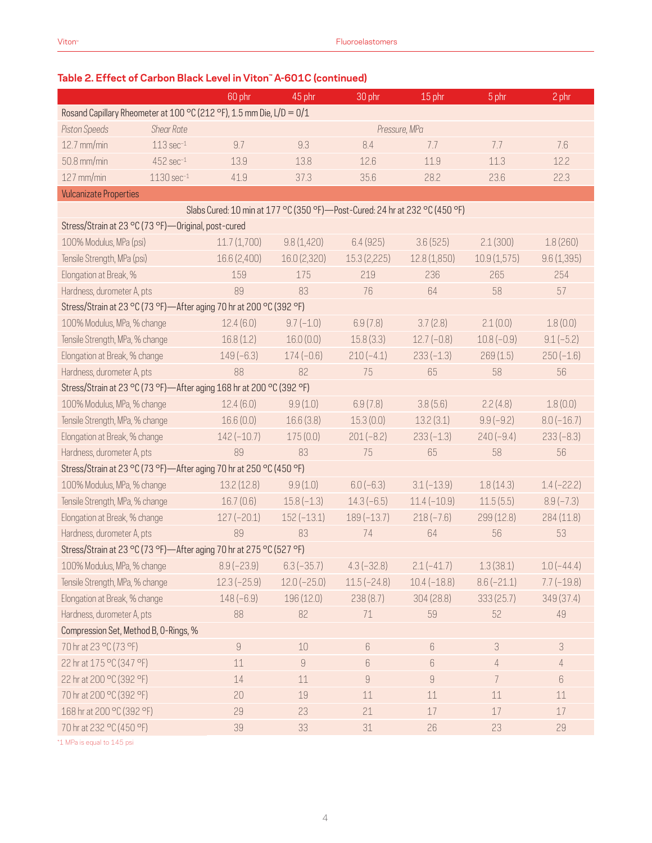## 60 phr 45 phr 30 phr 15 phr 5 phr 2 phr Rosand Capillary Rheometer at 100 °C (212 °F), 1.5 mm Die, L/D = 0/1 *Piston Speeds Shear Rate Pressure, MPa* 12.7 mm/min 113 sec $^{-1}$  9.7 9.3 8.4 7.7 7.7 7.6 7.6  $50.8\,\rm{mm/min}$   $452\,\rm{sec}^{-1}$   $13.9$   $13.8$   $12.6$   $11.9$   $11.3$   $12.2$ 127 mm/min 1130 sec–1 41.9 37.3 35.6 28.2 23.6 22.3 Vulcanizate Properties Slabs Cured: 10 min at 177 °C (350 °F)—Post-Cured: 24 hr at 232 °C (450 °F) Stress/Strain at 23 °C (73 °F)—Original, post-cured 100% Modulus, MPa (psi) 11.7 (1,700) 9.8 (1,420) 6.4 (925) 3.6 (525) 2.1 (300) 1.8 (260) Tensile Strength, MPa (psi) 16.6 (2,400) 16.0 (2,320) 15.3 (2,225) 12.8 (1,850) 10.9 (1,575) 9.6 (1,395) Elongation at Break, % 159 175 219 236 265 254 Hardness, durometer A, pts 89 83 83 76 64 58 57 Stress/Strain at 23 °C (73 °F)—After aging 70 hr at 200 °C (392 °F) 100% Modulus, MPa, % change 12.4 (6.0) 9.7 (–1.0) 6.9 (7.8) 3.7 (2.8) 2.1 (0.0) 1.8 (0.0) Tensile Strength, MPa, % change  $16.8 (1.2)$   $16.0 (0.0)$   $15.8 (3.3)$   $12.7 (-0.8)$   $10.8 (-0.9)$   $9.1 (-5.2)$ Elongation at Break, % change 149 (–6.3) 174 (–0.6) 210 (–4.1) 233 (–1.3) 269 (1.5) 250 (–1.6) Hardness, durometer A, pts 88 88 82 75 65 58 58 58 Stress/Strain at 23 °C (73 °F)—After aging 168 hr at 200 °C (392 °F) 100% Modulus, MPa, % change 12.4 (6.0) 9.9 (1.0) 6.9 (7.8) 3.8 (5.6) 2.2 (4.8) 1.8 (0.0) Tensile Strength, MPa, % change  $16.6 (0.0)$   $16.6 (3.8)$   $15.3 (0.0)$   $13.2 (3.1)$   $9.9 (-9.2)$   $8.0 (-16.7)$ Elongation at Break, % change 142 (–10.7) 175 (0.0) 201 (–8.2) 233 (–1.3) 240 (–9.4) 233 (–8.3) Hardness, durometer A, pts 89 83 83 75 65 58 58 56 Stress/Strain at 23 °C (73 °F)—After aging 70 hr at 250 °C (450 °F) 100% Modulus, MPa, % change 13.2 (12.8) 9.9 (1.0) 6.0 (–6.3) 3.1 (–13.9) 1.8 (14.3) 1.4 (–22.2) Tensile Strength, MPa, % change  $16.7 (0.6)$   $15.8 (-1.3)$   $14.3 (-6.5)$   $11.4 (-10.9)$   $11.5 (5.5)$   $8.9 (-7.3)$ Elongation at Break, % change 127 (–20.1) 152 (–13.1) 189 (–13.7) 218 (–7.6) 299 (12.8) 284 (11.8) Hardness, durometer A, pts 89 83 83 74 64 56 53 Stress/Strain at 23 °C (73 °F)—After aging 70 hr at 275 °C (527 °F) 100% Modulus, MPa, % change 8.9 (–23.9) 6.3 (–35.7) 4.3 (–32.8) 2.1 (–41.7) 1.3 (38.1) 1.0 (–44.4) Tensile Strength, MPa, % change 12.3 (–25.9) 12.0 (–25.0) 11.5 (–24.8) 10.4 (–18.8) 8.6 (–21.1) 7.7 (–19.8) Elongation at Break, % change 148 (–6.9) 196 (12.0) 238 (8.7) 304 (28.8) 333 (25.7) 349 (37.4) Hardness, durometer A, pts 88 82 71 59 52 49 Compression Set, Method B, O-Rings, % 70 hr at 23 °C (73 °F) 9 3 3 4 0 4 10 6 6 3 3 3 3 4 3 4 10 6 6 3 4 3 4 3 4 3 4 10 6 4 3 4 3 4 4 5 4  $\pm$  0.1  $22 \text{ hr at } 175 \text{ }^{\circ} \text{C} (347 \text{ }^{\circ} \text{F})$  11 9 6 6 4 4 4 22 hr at 200 °C (392 °F) 14 11 9 9 9 7 6 6 70 hr at 200 °C (392 °F) 20 19 11 11 11 11 168 hr at 200 °C (392 °F) 29 23 21 17 17 17 17 70 hr at 232 °C (450 °F) 39 33 31 26 23 29 31 26 23 29

#### **Table 2. Effect of Carbon Black Level in Viton™ A-601C (continued)**

\*1 MPa is equal to 145 psi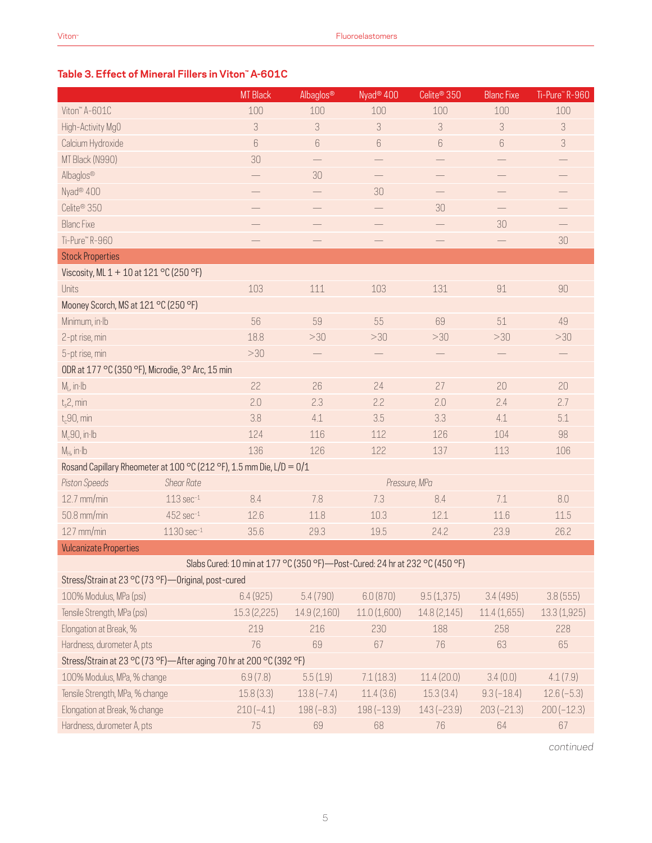#### **Table 3. Effect of Mineral Fillers in Viton™ A-601C**

|                                                                      |                         | <b>MT Black</b>                                                             | Albaglos®         | Nyad <sup>®</sup> 400 | Celite <sup>®</sup> 350  | <b>Blanc Fixe</b> | Ti-Pure <sup>"</sup> R-960 |
|----------------------------------------------------------------------|-------------------------|-----------------------------------------------------------------------------|-------------------|-----------------------|--------------------------|-------------------|----------------------------|
| Viton" A-601C                                                        |                         | 100                                                                         | 100               | 100                   | 100                      | 100               | 100                        |
| High-Activity MgO                                                    |                         | 3                                                                           | 3                 | 3                     | 3                        | 3                 | 3                          |
| Calcium Hydroxide                                                    |                         | 6                                                                           | 6                 | $6\,$                 | 6                        | 6                 | 3                          |
| MT Black (N990)                                                      |                         | 30                                                                          |                   |                       |                          |                   |                            |
| Albaglos®                                                            |                         |                                                                             | 30                |                       |                          |                   |                            |
| Nyad <sup>®</sup> 400                                                |                         |                                                                             |                   | 30                    |                          |                   |                            |
| Celite <sup>®</sup> 350                                              |                         |                                                                             |                   |                       | 30                       |                   |                            |
| <b>Blanc Fixe</b>                                                    |                         |                                                                             |                   |                       |                          | 30                |                            |
| Ti-Pure™R-960                                                        |                         |                                                                             | $\qquad \qquad -$ |                       | $\qquad \qquad -$        |                   | 30                         |
| <b>Stock Properties</b>                                              |                         |                                                                             |                   |                       |                          |                   |                            |
| Viscosity, ML 1 + 10 at 121 °C (250 °F)                              |                         |                                                                             |                   |                       |                          |                   |                            |
| <b>Units</b>                                                         |                         | 103                                                                         | 111               | 103                   | 131                      | 91                | 90                         |
| Mooney Scorch, MS at 121 °C (250 °F)                                 |                         |                                                                             |                   |                       |                          |                   |                            |
| Minimum, in Ib                                                       |                         | 56                                                                          | 59                | 55                    | 69                       | 51                | 49                         |
| 2-pt rise, min                                                       |                         | 18.8                                                                        | >30               | >30                   | >30                      | >30               | >30                        |
| 5-pt rise, min                                                       |                         | >30                                                                         |                   | $\qquad \qquad -$     | $\overline{\phantom{0}}$ |                   | $\qquad \qquad -$          |
| ODR at 177 °C (350 °F), Microdie, 3° Arc, 15 min                     |                         |                                                                             |                   |                       |                          |                   |                            |
| $M1$ , in Ib                                                         |                         | 22                                                                          | 26                | 24                    | 27                       | 20                | 20                         |
| $t_s$ 2, min                                                         |                         | 2.0                                                                         | 2.3               | 2.2                   | 2.0                      | 2.4               | 2.7                        |
| $t_c$ 90, min                                                        |                         | 3.8                                                                         | 4.1               | 3.5                   | 3.3                      | 4.1               | 5.1                        |
| $M_c$ 90, in·lb                                                      |                         | 124                                                                         | 116               | 112                   | 126                      | 104               | 98                         |
| $M_H$ , in Ib                                                        |                         | 136                                                                         | 126               | 122                   | 137                      | 113               | 106                        |
| Rosand Capillary Rheometer at 100 °C (212 °F), 1.5 mm Die, L/D = 0/1 |                         |                                                                             |                   |                       |                          |                   |                            |
| <b>Piston Speeds</b>                                                 | <b>Shear Rate</b>       |                                                                             |                   |                       | Pressure, MPa            |                   |                            |
| 12.7 mm/min                                                          | $113 sec-1$             | 8.4                                                                         | 7.8               | 7.3                   | 8.4                      | 7.1               | 8.0                        |
| 50.8 mm/min                                                          | $452$ sec $^{-1}$       | 12.6                                                                        | 11.8              | 10.3                  | 12.1                     | 11.6              | 11.5                       |
| 127 mm/min                                                           | $1130 \text{ sec}^{-1}$ | 35.6                                                                        | 29.3              | 19.5                  | 24.2                     | 23.9              | 26.2                       |
| <b>Vulcanizate Properties</b>                                        |                         |                                                                             |                   |                       |                          |                   |                            |
|                                                                      |                         | Slabs Cured: 10 min at 177 °C (350 °F)-Post-Cured: 24 hr at 232 °C (450 °F) |                   |                       |                          |                   |                            |
| Stress/Strain at 23 °C (73 °F)-Original, post-cured                  |                         |                                                                             |                   |                       |                          |                   |                            |
| 100% Modulus, MPa (psi)                                              |                         | 6.4(925)                                                                    | 5.4(790)          | 6.0(870)              | 9.5(1,375)               | 3.4(495)          | 3.8(555)                   |
| Tensile Strength, MPa (psi)                                          |                         | 15.3(2,225)                                                                 | 14.9 (2,160)      | 11.0(1,600)           | 14.8 (2,145)             | 11.4(1,655)       | 13.3(1,925)                |
| Elongation at Break, %                                               |                         | 219                                                                         | 216               | 230                   | 188                      | 258               | 228                        |
| Hardness, durometer A, pts                                           |                         | 76                                                                          | 69                | 67                    | 76                       | 63                | 65                         |
| Stress/Strain at 23 °C (73 °F)-After aging 70 hr at 200 °C (392 °F)  |                         |                                                                             |                   |                       |                          |                   |                            |
| 100% Modulus, MPa, % change                                          |                         | 6.9(7.8)                                                                    | 5.5(1.9)          | 7.1(18.3)             | 11.4(20.0)               | 3.4(0.0)          | 4.1(7.9)                   |
| Tensile Strength, MPa, % change                                      |                         | 15.8(3.3)                                                                   | $13.8(-7.4)$      | 11.4(3.6)             | 15.3(3.4)                | $9.3(-18.4)$      | $12.6(-5.3)$               |
| Elongation at Break, % change                                        |                         | $210(-4.1)$                                                                 | $198(-8.3)$       | $198(-13.9)$          | $143(-23.9)$             | $203(-21.3)$      | $200(-12.3)$               |
| Hardness, durometer A, pts                                           |                         | 75                                                                          | 69                | 68                    | 76                       | 64                | 67                         |

*continued*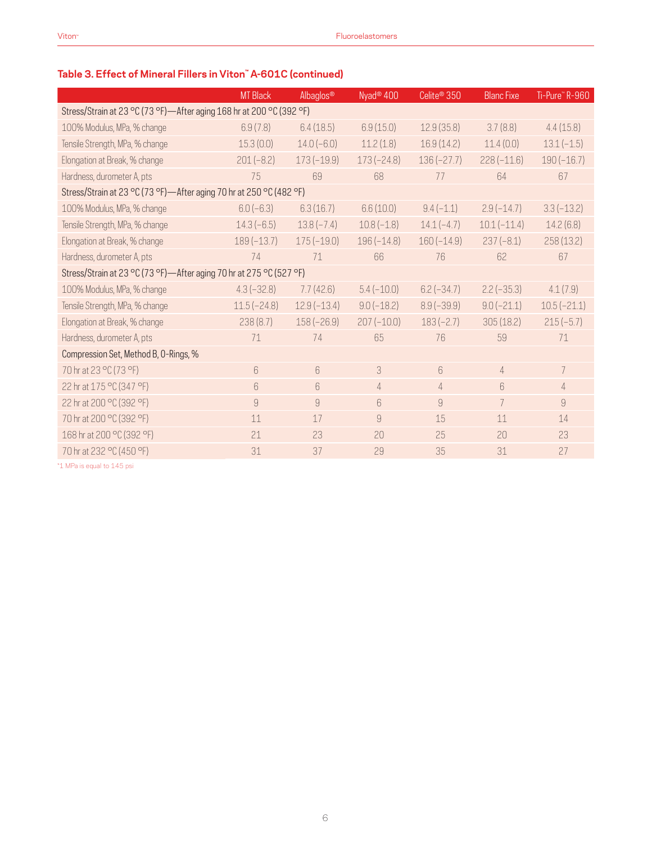# **Table 3. Effect of Mineral Fillers in Viton™ A-601C (continued)**

|                                                                      | <b>MT Black</b> | Albaglos®     | Nyad <sup>®</sup> 400 | Celite <sup>®</sup> 350 | <b>Blanc Fixe</b> | Ti-Pure" R-960 |  |
|----------------------------------------------------------------------|-----------------|---------------|-----------------------|-------------------------|-------------------|----------------|--|
| Stress/Strain at 23 °C (73 °F)-After aging 168 hr at 200 °C (392 °F) |                 |               |                       |                         |                   |                |  |
| 100% Modulus, MPa, % change                                          | 6.9(7.8)        | 6.4(18.5)     | 6.9(15.0)             | 12.9(35.8)              | 3.7(8.8)          | 4.4(15.8)      |  |
| Tensile Strength, MPa, % change                                      | 15.3(0.0)       | $14.0(-6.0)$  | 11.2(1.8)             | 16.9(14.2)              | 11.4(0.0)         | $13.1(-1.5)$   |  |
| Elongation at Break, % change                                        | $201(-8.2)$     | $173(-19.9)$  | $173(-24.8)$          | $136(-27.7)$            | $228(-11.6)$      | $190(-16.7)$   |  |
| Hardness, durometer A, pts                                           | 75              | 69            | 68                    | 77                      | 64                | 67             |  |
| Stress/Strain at 23 °C (73 °F)-After aging 70 hr at 250 °C (482 °F)  |                 |               |                       |                         |                   |                |  |
| 100% Modulus, MPa, % change                                          | $6.0(-6.3)$     | 6.3(16.7)     | 6.6(10.0)             | $9.4(-1.1)$             | $2.9(-14.7)$      | $3.3(-13.2)$   |  |
| Tensile Strength, MPa, % change                                      | $14.3(-6.5)$    | $13.8(-7.4)$  | $10.8(-1.8)$          | $14.1(-4.7)$            | $10.1(-11.4)$     | 14.2(6.8)      |  |
| Elongation at Break, % change                                        | $189(-13.7)$    | $175(-19.0)$  | $196(-14.8)$          | $160(-14.9)$            | $237(-8.1)$       | 258(13.2)      |  |
| Hardness, durometer A, pts                                           | 74              | 71            | 66                    | 76                      | 62                | 67             |  |
| Stress/Strain at 23 °C (73 °F)-After aging 70 hr at 275 °C (527 °F)  |                 |               |                       |                         |                   |                |  |
| 100% Modulus, MPa, % change                                          | $4.3(-32.8)$    | 7.7(42.6)     | $5.4(-10.0)$          | $6.2(-34.7)$            | $2.2(-35.3)$      | 4.1(7.9)       |  |
| Tensile Strength, MPa, % change                                      | $11.5(-24.8)$   | $12.9(-13.4)$ | $9.0(-18.2)$          | $8.9(-39.9)$            | $9.0(-21.1)$      | $10.5(-21.1)$  |  |
| Elongation at Break, % change                                        | 238(8.7)        | $158(-26.9)$  | $207(-10.0)$          | $183(-2.7)$             | 305(18.2)         | $215(-5.7)$    |  |
| Hardness, durometer A, pts                                           | 71              | 74            | 65                    | 76                      | 59                | 71             |  |
| Compression Set, Method B, O-Rings, %                                |                 |               |                       |                         |                   |                |  |
| 70 hr at 23 °C (73 °F)                                               | 6               | 6             | 3                     | 6                       | $\overline{4}$    | $\overline{7}$ |  |
| 22 hr at 175 °C (347 °F)                                             | 6               | 6             | $\overline{4}$        | $\overline{4}$          | 6                 | $\overline{4}$ |  |
| 22 hr at 200 °C (392 °F)                                             | 9               | 9             | 6                     | 9                       | $\overline{7}$    | 9              |  |
| 70 hr at 200 °C (392 °F)                                             | 11              | 17            | $\overline{9}$        | 15                      | 11                | 14             |  |
| 168 hr at 200 °C (392 °F)                                            | 21              | 23            | 20                    | 25                      | 20                | 23             |  |
| 70 hr at 232 °C (450 °F)                                             | 31              | 37            | 29                    | 35                      | 31                | 27             |  |
|                                                                      |                 |               |                       |                         |                   |                |  |

\*1 MPa is equal to 145 psi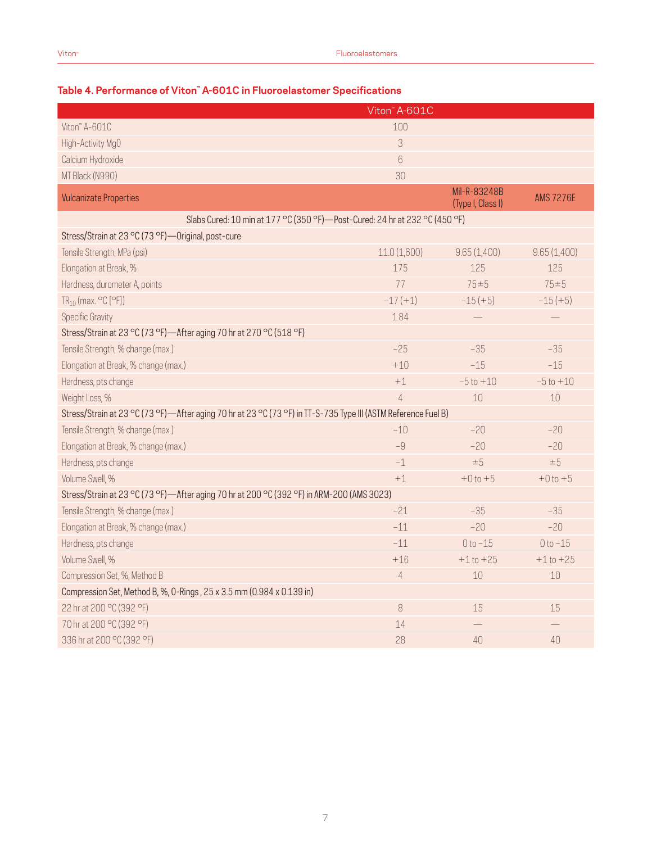|                                                                                                                | Viton" A-601C  |                                   |                  |
|----------------------------------------------------------------------------------------------------------------|----------------|-----------------------------------|------------------|
| Viton" A-601C                                                                                                  | 100            |                                   |                  |
| High-Activity Mg0                                                                                              | 3              |                                   |                  |
| Calcium Hydroxide                                                                                              | $6\,$          |                                   |                  |
| MT Black (N990)                                                                                                | 30             |                                   |                  |
| <b>Vulcanizate Properties</b>                                                                                  |                | Mil-R-83248B<br>(Type I, Class I) | <b>AMS 7276E</b> |
| Slabs Cured: 10 min at 177 °C (350 °F)-Post-Cured: 24 hr at 232 °C (450 °F)                                    |                |                                   |                  |
| Stress/Strain at 23 °C (73 °F) - Original, post-cure                                                           |                |                                   |                  |
| Tensile Strength, MPa (psi)                                                                                    | 11.0(1,600)    | 9.65(1,400)                       | 9.65(1,400)      |
| Elongation at Break, %                                                                                         | 175            | 125                               | 125              |
| Hardness, durometer A, points                                                                                  | 77             | $75 = 5$                          | $75 = 5$         |
| $TR_{10}$ (max. $°C$ [°F])                                                                                     | $-17(+1)$      | $-15 (+5)$                        | $-15 (+5)$       |
| Specific Gravity                                                                                               | 1.84           |                                   |                  |
| Stress/Strain at 23 °C (73 °F)-After aging 70 hr at 270 °C (518 °F)                                            |                |                                   |                  |
| Tensile Strength, % change (max.)                                                                              | $-25$          | $-35$                             | $-35$            |
| Elongation at Break, % change (max.)                                                                           | $+10$          | $-15$                             | $-15$            |
| Hardness, pts change                                                                                           | $+1$           | $-5t0 + 10$                       | $-5t0 + 10$      |
| Weight Loss, %                                                                                                 | $\overline{4}$ | 10                                | 10               |
| Stress/Strain at 23 °C (73 °F)—After aging 70 hr at 23 °C (73 °F) in TT-S-735 Type III (ASTM Reference Fuel B) |                |                                   |                  |
| Tensile Strength, % change (max.)                                                                              | $-10$          | $-20$                             | $-20$            |
| Elongation at Break, % change (max.)                                                                           | $-9$           | $-20$                             | $-20$            |
| Hardness, pts change                                                                                           | $-1$           | $\pm 5$                           | ±5               |
| Volume Swell, %                                                                                                | $+1$           | $+0t0+5$                          | $+0t0+5$         |
| Stress/Strain at 23 °C (73 °F)—After aging 70 hr at 200 °C (392 °F) in ARM-200 (AMS 3023)                      |                |                                   |                  |
| Tensile Strength, % change (max.)                                                                              | $-21$          | $-35$                             | $-35$            |
| Elongation at Break, % change (max.)                                                                           | $-11$          | $-20$                             | $-20$            |
| Hardness, pts change                                                                                           | $-11$          | $0 to -15$                        | $0 to -15$       |
| Volume Swell, %                                                                                                | $+16$          | $+1$ to $+25$                     | $+1$ to $+25$    |
| Compression Set, %, Method B                                                                                   | $\overline{4}$ | 10                                | $10$             |
| Compression Set, Method B, %, 0-Rings, 25 x 3.5 mm (0.984 x 0.139 in)                                          |                |                                   |                  |
| 22 hr at 200 °C (392 °F)                                                                                       | 8              | 15                                | 15               |
| 70 hr at 200 °C (392 °F)                                                                                       | 14             |                                   |                  |
| 336 hr at 200 °C (392 °F)                                                                                      | 28             | 40                                | 40               |

### **Table 4. Performance of Viton™ A-601C in Fluoroelastomer Specifications**